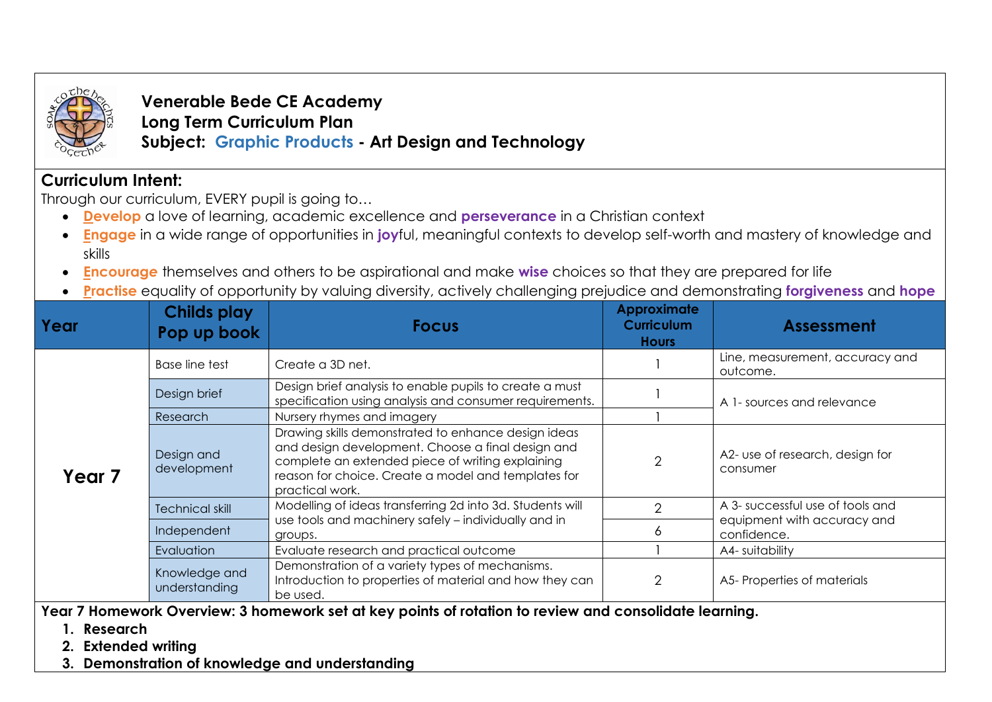

**Venerable Bede CE Academy Long Term Curriculum Plan Subject: Graphic Products - Art Design and Technology**

## **Curriculum Intent:**

Through our curriculum, EVERY pupil is going to…

- **Develop** a love of learning, academic excellence and **perseverance** in a Christian context
- **Engage** in a wide range of opportunities in **joy**ful, meaningful contexts to develop self-worth and mastery of knowledge and skills
- **Encourag***e* themselves and others to be aspirational and make **wise** choices so that they are prepared for life
- **Practise** equality of opportunity by valuing diversity, actively challenging prejudice and demonstrating **forgiveness** and **hope**

| Year   | <b>Childs play</b><br>Pop up book | <b>Focus</b>                                                                                                                                                                                                                           | <b>Approximate</b><br><b>Curriculum</b><br><b>Hours</b> | <b>Assessment</b>                           |
|--------|-----------------------------------|----------------------------------------------------------------------------------------------------------------------------------------------------------------------------------------------------------------------------------------|---------------------------------------------------------|---------------------------------------------|
| Year 7 | <b>Base line test</b>             | Create a 3D net.                                                                                                                                                                                                                       |                                                         | Line, measurement, accuracy and<br>outcome. |
|        | Design brief                      | Design brief analysis to enable pupils to create a must<br>specification using analysis and consumer requirements.                                                                                                                     |                                                         | A 1- sources and relevance                  |
|        | Research                          | Nursery rhymes and imagery                                                                                                                                                                                                             |                                                         |                                             |
|        | Design and<br>development         | Drawing skills demonstrated to enhance design ideas<br>and design development. Choose a final design and<br>complete an extended piece of writing explaining<br>reason for choice. Create a model and templates for<br>practical work. | $\overline{2}$                                          | A2- use of research, design for<br>consumer |
|        | <b>Technical skill</b>            | Modelling of ideas transferring 2d into 3d. Students will<br>use tools and machinery safely - individually and in<br>groups.                                                                                                           | $\mathcal{D}$                                           | A 3- successful use of tools and            |
|        | Independent                       |                                                                                                                                                                                                                                        | n.                                                      | equipment with accuracy and<br>confidence.  |
|        | Evaluation                        | Evaluate research and practical outcome                                                                                                                                                                                                |                                                         | A4- suitability                             |
|        | Knowledge and<br>understanding    | Demonstration of a variety types of mechanisms.<br>Introduction to properties of material and how they can<br>be used.                                                                                                                 | $\mathcal{P}$                                           | A5-Properties of materials                  |

**Year 7 Homework Overview: 3 homework set at key points of rotation to review and consolidate learning.** 

- **1. Research**
- **2. Extended writing**
- **3. Demonstration of knowledge and understanding**